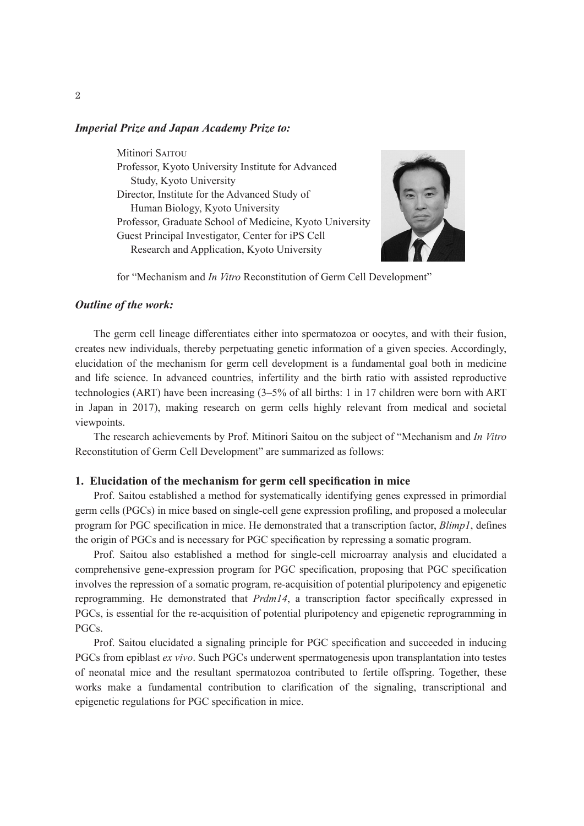### *Imperial Prize and Japan Academy Prize to:*

Mitinori SAITOU Professor, Kyoto University Institute for Advanced Study, Kyoto University Director, Institute for the Advanced Study of Human Biology, Kyoto University Professor, Graduate School of Medicine, Kyoto University Guest Principal Investigator, Center for iPS Cell Research and Application, Kyoto University



for "Mechanism and *In Vitro* Reconstitution of Germ Cell Development"

### *Outline of the work:*

The germ cell lineage differentiates either into spermatozoa or oocytes, and with their fusion, creates new individuals, thereby perpetuating genetic information of a given species. Accordingly, elucidation of the mechanism for germ cell development is a fundamental goal both in medicine and life science. In advanced countries, infertility and the birth ratio with assisted reproductive technologies (ART) have been increasing (3–5% of all births: 1 in 17 children were born with ART in Japan in 2017), making research on germ cells highly relevant from medical and societal viewpoints.

The research achievements by Prof. Mitinori Saitou on the subject of "Mechanism and *In Vitro* Reconstitution of Germ Cell Development" are summarized as follows:

#### **1. Elucidation of the mechanism for germ cell specification in mice**

Prof. Saitou established a method for systematically identifying genes expressed in primordial germ cells (PGCs) in mice based on single-cell gene expression profiling, and proposed a molecular program for PGC specification in mice. He demonstrated that a transcription factor, *Blimp1*, defines the origin of PGCs and is necessary for PGC specification by repressing a somatic program.

Prof. Saitou also established a method for single-cell microarray analysis and elucidated a comprehensive gene-expression program for PGC specification, proposing that PGC specification involves the repression of a somatic program, re-acquisition of potential pluripotency and epigenetic reprogramming. He demonstrated that *Prdm14*, a transcription factor specifically expressed in PGCs, is essential for the re-acquisition of potential pluripotency and epigenetic reprogramming in PGCs.

Prof. Saitou elucidated a signaling principle for PGC specification and succeeded in inducing PGCs from epiblast *ex vivo*. Such PGCs underwent spermatogenesis upon transplantation into testes of neonatal mice and the resultant spermatozoa contributed to fertile offspring. Together, these works make a fundamental contribution to clarification of the signaling, transcriptional and epigenetic regulations for PGC specification in mice.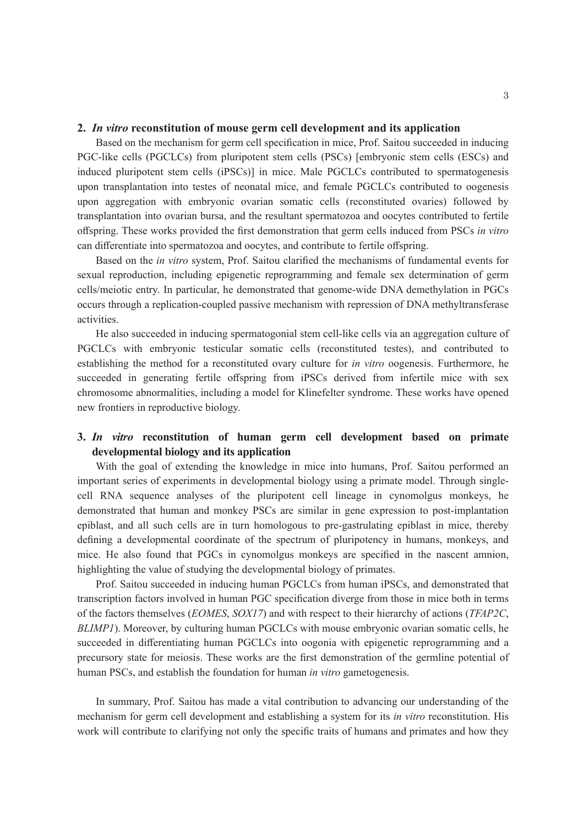### **2.** *In vitro* **reconstitution of mouse germ cell development and its application**

Based on the mechanism for germ cell specification in mice, Prof. Saitou succeeded in inducing PGC-like cells (PGCLCs) from pluripotent stem cells (PSCs) [embryonic stem cells (ESCs) and induced pluripotent stem cells (iPSCs)] in mice. Male PGCLCs contributed to spermatogenesis upon transplantation into testes of neonatal mice, and female PGCLCs contributed to oogenesis upon aggregation with embryonic ovarian somatic cells (reconstituted ovaries) followed by transplantation into ovarian bursa, and the resultant spermatozoa and oocytes contributed to fertile offspring. These works provided the first demonstration that germ cells induced from PSCs *in vitro* can differentiate into spermatozoa and oocytes, and contribute to fertile offspring.

Based on the *in vitro* system, Prof. Saitou clarified the mechanisms of fundamental events for sexual reproduction, including epigenetic reprogramming and female sex determination of germ cells/meiotic entry. In particular, he demonstrated that genome-wide DNA demethylation in PGCs occurs through a replication-coupled passive mechanism with repression of DNA methyltransferase activities.

He also succeeded in inducing spermatogonial stem cell-like cells via an aggregation culture of PGCLCs with embryonic testicular somatic cells (reconstituted testes), and contributed to establishing the method for a reconstituted ovary culture for *in vitro* oogenesis. Furthermore, he succeeded in generating fertile offspring from iPSCs derived from infertile mice with sex chromosome abnormalities, including a model for Klinefelter syndrome. These works have opened new frontiers in reproductive biology.

# **3.** *In vitro* **reconstitution of human germ cell development based on primate developmental biology and its application**

With the goal of extending the knowledge in mice into humans, Prof. Saitou performed an important series of experiments in developmental biology using a primate model. Through singlecell RNA sequence analyses of the pluripotent cell lineage in cynomolgus monkeys, he demonstrated that human and monkey PSCs are similar in gene expression to post-implantation epiblast, and all such cells are in turn homologous to pre-gastrulating epiblast in mice, thereby defining a developmental coordinate of the spectrum of pluripotency in humans, monkeys, and mice. He also found that PGCs in cynomolgus monkeys are specified in the nascent amnion, highlighting the value of studying the developmental biology of primates.

Prof. Saitou succeeded in inducing human PGCLCs from human iPSCs, and demonstrated that transcription factors involved in human PGC specification diverge from those in mice both in terms of the factors themselves (*EOMES*, *SOX17*) and with respect to their hierarchy of actions (*TFAP2C*, *BLIMP1*). Moreover, by culturing human PGCLCs with mouse embryonic ovarian somatic cells, he succeeded in differentiating human PGCLCs into oogonia with epigenetic reprogramming and a precursory state for meiosis. These works are the first demonstration of the germline potential of human PSCs, and establish the foundation for human *in vitro* gametogenesis.

In summary, Prof. Saitou has made a vital contribution to advancing our understanding of the mechanism for germ cell development and establishing a system for its *in vitro* reconstitution. His work will contribute to clarifying not only the specific traits of humans and primates and how they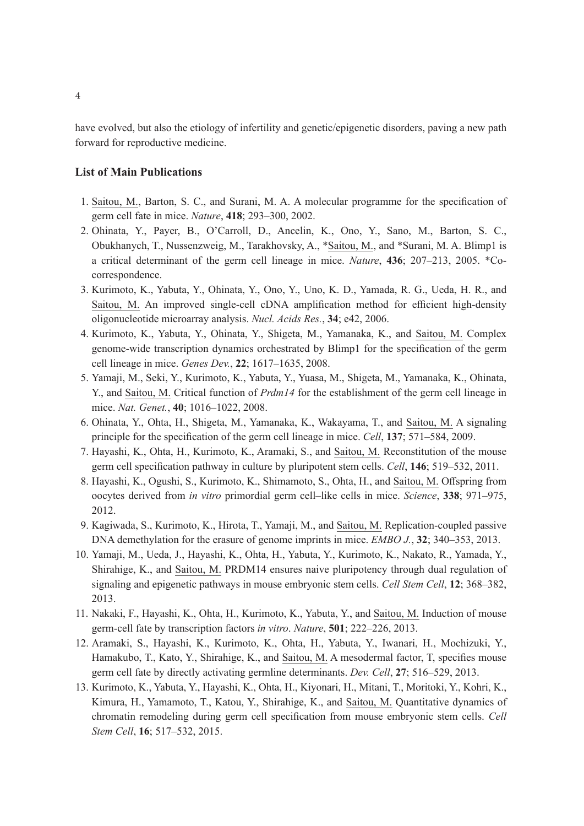have evolved, but also the etiology of infertility and genetic/epigenetic disorders, paving a new path forward for reproductive medicine.

## **List of Main Publications**

- 1. Saitou, M., Barton, S. C., and Surani, M. A. A molecular programme for the specification of germ cell fate in mice. *Nature*, **418**; 293–300, 2002.
- 2. Ohinata, Y., Payer, B., O'Carroll, D., Ancelin, K., Ono, Y., Sano, M., Barton, S. C., Obukhanych, T., Nussenzweig, M., Tarakhovsky, A., \*Saitou, M., and \*Surani, M. A. Blimp1 is a critical determinant of the germ cell lineage in mice. *Nature*, **436**; 207–213, 2005. \*Cocorrespondence.
- 3. Kurimoto, K., Yabuta, Y., Ohinata, Y., Ono, Y., Uno, K. D., Yamada, R. G., Ueda, H. R., and Saitou, M. An improved single-cell cDNA amplification method for efficient high-density oligonucleotide microarray analysis. *Nucl. Acids Res.*, **34**; e42, 2006.
- 4. Kurimoto, K., Yabuta, Y., Ohinata, Y., Shigeta, M., Yamanaka, K., and Saitou, M. Complex genome-wide transcription dynamics orchestrated by Blimp1 for the specification of the germ cell lineage in mice. *Genes Dev.*, **22**; 1617–1635, 2008.
- 5. Yamaji, M., Seki, Y., Kurimoto, K., Yabuta, Y., Yuasa, M., Shigeta, M., Yamanaka, K., Ohinata, Y., and Saitou, M. Critical function of *Prdm14* for the establishment of the germ cell lineage in mice. *Nat. Genet.*, **40**; 1016–1022, 2008.
- 6. Ohinata, Y., Ohta, H., Shigeta, M., Yamanaka, K., Wakayama, T., and Saitou, M. A signaling principle for the specification of the germ cell lineage in mice. *Cell*, **137**; 571–584, 2009.
- 7. Hayashi, K., Ohta, H., Kurimoto, K., Aramaki, S., and Saitou, M. Reconstitution of the mouse germ cell specification pathway in culture by pluripotent stem cells. *Cell*, **146**; 519–532, 2011.
- 8. Hayashi, K., Ogushi, S., Kurimoto, K., Shimamoto, S., Ohta, H., and Saitou, M. Offspring from oocytes derived from *in vitro* primordial germ cell–like cells in mice. *Science*, **338**; 971–975, 2012.
- 9. Kagiwada, S., Kurimoto, K., Hirota, T., Yamaji, M., and Saitou, M. Replication-coupled passive DNA demethylation for the erasure of genome imprints in mice. *EMBO J.*, **32**; 340–353, 2013.
- 10. Yamaji, M., Ueda, J., Hayashi, K., Ohta, H., Yabuta, Y., Kurimoto, K., Nakato, R., Yamada, Y., Shirahige, K., and Saitou, M. PRDM14 ensures naive pluripotency through dual regulation of signaling and epigenetic pathways in mouse embryonic stem cells. *Cell Stem Cell*, **12**; 368–382, 2013.
- 11. Nakaki, F., Hayashi, K., Ohta, H., Kurimoto, K., Yabuta, Y., and Saitou, M. Induction of mouse germ-cell fate by transcription factors *in vitro*. *Nature*, **501**; 222–226, 2013.
- 12. Aramaki, S., Hayashi, K., Kurimoto, K., Ohta, H., Yabuta, Y., Iwanari, H., Mochizuki, Y., Hamakubo, T., Kato, Y., Shirahige, K., and Saitou, M. A mesodermal factor, T, specifies mouse germ cell fate by directly activating germline determinants. *Dev. Cell*, **27**; 516–529, 2013.
- 13. Kurimoto, K., Yabuta, Y., Hayashi, K., Ohta, H., Kiyonari, H., Mitani, T., Moritoki, Y., Kohri, K., Kimura, H., Yamamoto, T., Katou, Y., Shirahige, K., and Saitou, M. Quantitative dynamics of chromatin remodeling during germ cell specification from mouse embryonic stem cells. *Cell Stem Cell*, **16**; 517–532, 2015.